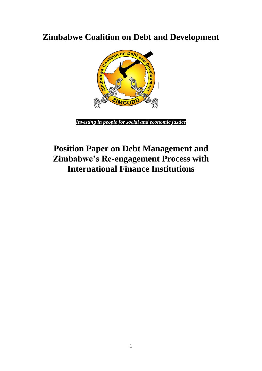**Zimbabwe Coalition on Debt and Development**



*Investing in people for social and economic justice*

# **Position Paper on Debt Management and Zimbabwe's Re-engagement Process with International Finance Institutions**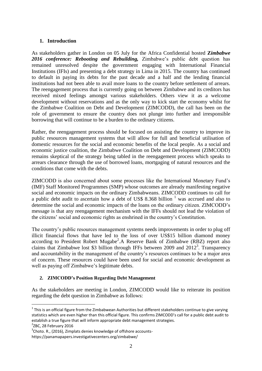#### **1. Introduction**

As stakeholders gather in London on 05 July for the Africa Confidential hosted **Z***imbabwe 2016 conference: Rebooting and Rebuilding,* Zimbabwe's public debt question has remained unresolved despite the government engaging with International Financial Institutions (IFIs) and presenting a debt strategy in Lima in 2015. The country has continued to default in paying its debts for the past decade and a half and the lending financial institutions had not been able to avail more loans to the country before settlement of arrears. The reengagement process that is currently going on between Zimbabwe and its creditors has received mixed feelings amongst various stakeholders. Others view it as a welcome development without reservations and as the only way to kick start the economy whilst for the Zimbabwe Coalition on Debt and Development (ZIMCODD), the call has been on the role of government to ensure the country does not plunge into further and irresponsible borrowing that will continue to be a burden to the ordinary citizens.

Rather, the reengagement process should be focused on assisting the country to improve its public resources management systems that will allow for full and beneficial utilisation of domestic resources for the social and economic benefits of the local people. As a social and economic justice coalition, the Zimbabwe Coalition on Debt and Development (ZIMCODD) remains skeptical of the strategy being tabled in the reengagement process which speaks to arrears clearance through the use of borrowed loans, mortgaging of natural resources and the conditions that come with the debts.

ZIMCODD is also concerned about some processes like the International Monetary Fund's (IMF) Staff Monitored Programmes (SMP) whose outcomes are already manifesting negative social and economic impacts on the ordinary Zimbabweans. ZIMCODD continues to call for a public debt audit to ascertain how a debt of US\$ 8.368 billion  $<sup>1</sup>$  was accrued and also to</sup> determine the social and economic impacts of the loans on the ordinary citizen. ZIMCODD's message is that any reengagement mechanism with the IFFs should not lead the violation of the citizens' social and economic rights as enshrined in the country's Constitution.

The country's public resources management systems needs improvements in order to plug off illicit financial flows that have led to the loss of over US\$15 billion diamond money according to President Robert Mugabe<sup>2</sup>.A Reserve Bank of Zimbabwe (RBZ) report also claims that Zimbabwe lost \$3 billion through IFFs between 2009 and  $2012<sup>3</sup>$ . Transparency and accountability in the management of the country's resources continues to be a major area of concern. These resources could have been used for social and economic development as well as paying off Zimbabwe's legitimate debts.

# **2. ZIMCODD's Position Regarding Debt Management**

As the stakeholders are meeting in London, ZIMCODD would like to reiterate its position regarding the debt question in Zimbabwe as follows:

1

 $1$  This is an official figure from the Zimbabwean Authorities but different stakeholders continue to give varying statistics which are even higher than this official figure. This confirms ZIMCODD's call for a public debt audit to establish a true figure that will inform appropriate debt management strategies.

 $2$ ZBC, 28 February 2016

 $3$ Choto. R., (2016), Zimplats denies knowledge of offshore accountshttps://panamapapers.investigativecenters.org/zimbabwe/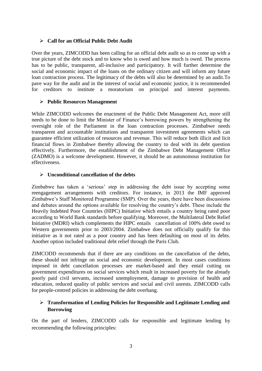# **Call for an Official Public Debt Audit**

Over the years, ZIMCODD has been calling for an official debt audit so as to come up with a true picture of the debt stock and to know who is owed and how much is owed. The process has to be public, transparent, all-inclusive and participatory. It will further determine the social and economic impact of the loans on the ordinary citizen and will inform any future loan contraction process. The legitimacy of the debts will also be determined by an audit.To pave way for the audit and in the interest of social and economic justice, it is recommended for creditors to institute a moratorium on principal and interest payments.

#### **Public Resources Management**

While ZIMCODD welcomes the enactment of the Public Debt Management Act, more still needs to be done to limit the Minister of Finance's borrowing powers by strengthening the oversight role of the Parliament in the loan contraction processes. Zimbabwe needs transparent and accountable institutions and transparent investment agreements which can guarantee efficient utilization of resources and revenue. This will reduce both illicit and licit financial flows in Zimbabwe thereby allowing the country to deal with its debt question effectively. Furthermore, the establishment of the Zimbabwe Debt Management Office (ZADMO) is a welcome development. However, it should be an autonomous institution for effectiveness.

#### **Unconditional cancellation of the debts**

Zimbabwe has taken a 'serious' step in addressing the debt issue by accepting some reengagement arrangements with creditors. For instance, in 2013 the IMF approved Zimbabwe's Staff Monitored Programme (SMP). Over the years, there have been discussions and debates around the options available for resolving the country's debt. These include the Heavily Indebted Poor Countries (HIPC) Initiative which entails a country being rated poor according to World Bank standards before qualifying. Moreover, the Multilateral Debt Relief Initiative (MDRI) which complements the HIPC entails cancellation of 100% debt owed to Western governments prior to 2003/2004. Zimbabwe does not officially qualify for this initiative as it not rated as a poor country and has been defaulting on most of its debts. Another option included traditional debt relief through the Paris Club.

ZIMCODD recommends that if there are any conditions on the cancellation of the debts, these should not infringe on social and economic development. In most cases conditions imposed in debt cancellation processes are market-based and they entail cutting on government expenditures on social services which result in increased poverty for the already poorly paid civil servants, increased unemployment, damage to provision of health and education, reduced quality of public services and social and civil unrests. ZIMCODD calls for people-centred policies in addressing the debt overhang.

# **Transformation of Lending Policies for Responsible and Legitimate Lending and Borrowing**

On the part of lenders, ZIMCODD calls for responsible and legitimate lending by recommending the following principles: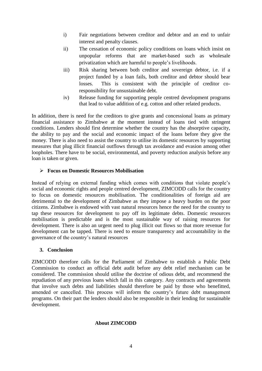- i) Fair negotiations between creditor and debtor and an end to unfair interest and penalty clauses.
- ii) The cessation of economic policy conditions on loans which insist on unpopular reforms that are market-based such as wholesale privatization which are harmful to people's livelihoods.
- iii) Risk sharing between both creditor and sovereign debtor, i.e. if a project funded by a loan fails, both creditor and debtor should bear losses. This is consistent with the principle of creditor coresponsibility for unsustainable debt.
- iv) Release funding for supporting people centred development programs that lead to value addition of e.g. cotton and other related products.

In addition, there is need for the creditors to give grants and concessional loans as primary financial assistance to Zimbabwe at the moment instead of loans tied with stringent conditions. Lenders should first determine whether the country has the absorptive capacity, the ability to pay and the social and economic impact of the loans before they give the money. There is also need to assist the country to utilise its domestic resources by supporting measures that plug illicit financial outflows through tax avoidance and evasion among other loopholes. There have to be social, environmental, and poverty reduction analysis before any loan is taken or given.

# **Focus on Domestic Resources Mobilisation**

Instead of relying on external funding which comes with conditions that violate people's social and economic rights and people centred development, ZIMCODD calls for the country to focus on domestic resources mobilisation. The conditionalities of foreign aid are detrimental to the development of Zimbabwe as they impose a heavy burden on the poor citizens. Zimbabwe is endowed with vast natural resources hence the need for the country to tap these resources for development to pay off its legitimate debts. Domestic resources mobilisation is predictable and is the most sustainable way of raising resources for development. There is also an urgent need to plug illicit out flows so that more revenue for development can be tapped. There is need to ensure transparency and accountability in the governance of the country's natural resources

# **3. Conclusion**

ZIMCODD therefore calls for the Parliament of Zimbabwe to establish a Public Debt Commission to conduct an official debt audit before any debt relief mechanism can be considered. The commission should utilise the doctrine of odious debt, and recommend the repudiation of any previous loans which fall in this category. Any contracts and agreements that involve such debts and liabilities should therefore be paid by those who benefitted, amended or cancelled. This process will inform the country's future debt management programs. On their part the lenders should also be responsible in their lending for sustainable development.

# **About ZIMCODD**